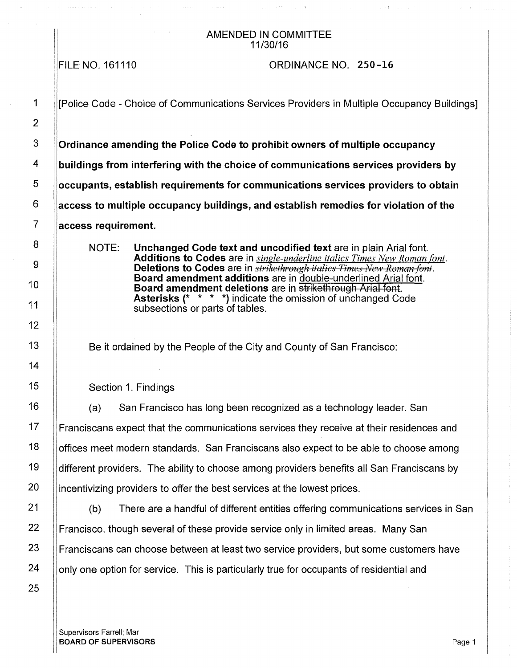#### AMENDED IN COMMITTEE 11/30/16

FILE NO. 161110

#### ORDINANCE NO. 250-16

1 | ||Police Code - Choice of Communications Services Providers in Multiple Occupancy Buildings] 3 **Ordinance amending the Police Code to prohibit owners of multiple occupancy**  4 **buildings from interfering with the choice of communications services providers by**  5 **occupants, establish requirements for communications services providers to obtain**  6 **access to multiple occupancy buildings, and establish remedies for violation of the**  7 **access requirement.**  NOTE: **Unchanged Code text and uncodified text** are in plain Arial font. **Additions to Codes** are in *single-underline italics Times New Roman font.*  **Deletions to Codes** are in *strikethrough italics Times New Roman font.* **Board amendment additions** are in double-underlined Arial font. **Board amendment deletions** are in strikethrough Arial font. **Asterisks** (\* \* \* \*) indicate the omission of unchanged Code subsections or parts of tables. Be it ordained by the People of the City and County of San Francisco: Section 1. Findings (a) San Francisco has long been recognized as a technology leader. San 17 **Franciscans expect that the communications services they receive at their residences and**  $18$  | offices meet modern standards. San Franciscans also expect to be able to choose among 19  $\parallel$  different providers. The ability to choose among providers benefits all San Franciscans by 20 incentivizing providers to offer the best services at the lowest prices. 21 (b) There are a handful of different entities offering communications services in San 22 **Francisco, though several of these provide service only in limited areas. Many San** 23 **Franciscans can choose between at least two service providers, but some customers have** 

24 | only one option for service. This is particularly true for occupants of residential and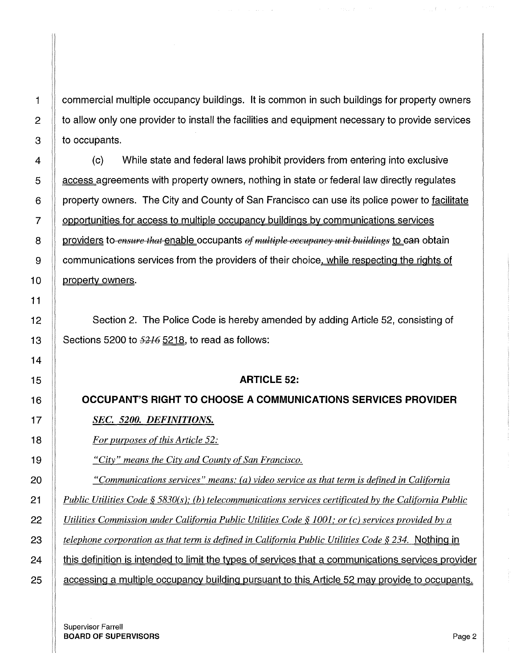**1** commercial multiple occupancy buildings. It is common in such buildings for property owners 2 to allow only one provider to install the facilities and equipment necessary to provide services  $3 \parallel$  to occupants.

(c) While state and federal laws prohibit providers from entering into exclusive **Let access agreements with property owners, nothing in state or federal law directly regulates** 6 | property owners. The City and County of San Francisco can use its police power to facilitate 7 opportunities for access to multiple occupancy buildings by communications services **providers to** *ensure that* enable occupants of multiple occupancy unit buildings to ean obtain 9 Communications services from the providers of their choice, while respecting the rights of  $\parallel$  property owners.

12 Section 2. The Police Code is hereby amended by adding Article 52, consisting of  $\parallel$  Sections 5200 to  $\frac{5216}{2218}$ , to read as follows:

#### **ARTICLE** 52:

**OCCUPANT'S RIGHT TO CHOOSE A COMMUNICATIONS SERVICES PROVIDER**  *SEC. 5200. DEFINITIONS.* 

*For purposes of this Article 52:* 

*"City" means the City and County of San Francisco.* 

*"Communications services" means: (a) video service as that term is defined in California* 

*Public Utilities Code* § *5830(s ); (b) telecommunications services certificated by the California Public* 

22 *Utilities Commission under California Public Utilities Code § 1001; or (c) services provided by a* $\overline{a}$ 

*telephone corporation as that term is defined in California Public Utilities Code § 234.* Nothing in

**this definition is intended to limit the types of services that a communications services provider** 

**a** accessing a multiple occupancy building pursuant to this Article 52 may provide to occupants.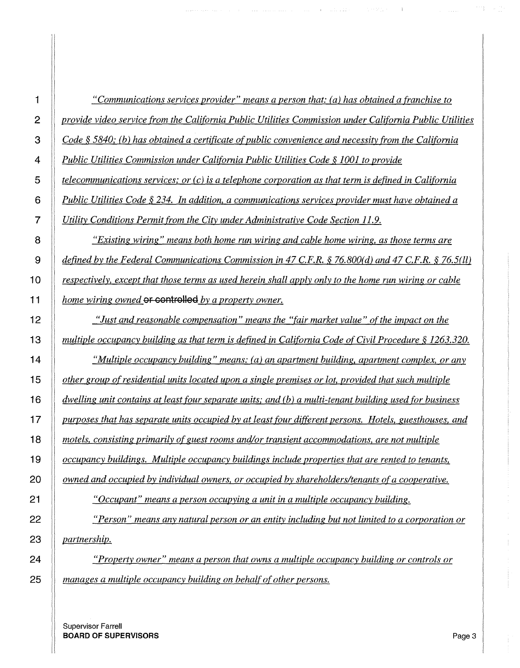| 1              | "Communications services provider" means a person that: (a) has obtained a franchise to                 |
|----------------|---------------------------------------------------------------------------------------------------------|
| $\overline{2}$ | provide video service from the California Public Utilities Commission under California Public Utilities |
| 3              | Code § 5840; (b) has obtained a certificate of public convenience and necessity from the California     |
| 4              | Public Utilities Commission under California Public Utilities Code § 1001 to provide                    |
| 5              | telecommunications services; or $(c)$ is a telephone corporation as that term is defined in California  |
| 6              | Public Utilities Code § 234. In addition, a communications services provider must have obtained a       |
| $\overline{7}$ | Utility Conditions Permit from the City under Administrative Code Section 11.9.                         |
| 8              | "Existing wiring" means both home run wiring and cable home wiring, as those terms are                  |
| 9              | defined by the Federal Communications Commission in 47 C.F.R. § 76.800(d) and 47 C.F.R. § 76.5(ll)      |
| 10             | respectively, except that those terms as used herein shall apply only to the home run wiring or cable   |
| 11             | home wiring owned or controlled by a property owner.                                                    |
| 12             | "Just and reasonable compensation" means the "fair market value" of the impact on the                   |
| 13             | multiple occupancy building as that term is defined in California Code of Civil Procedure § 1263.320.   |
| 14             | "Multiple occupancy building" means: (a) an apartment building, apartment complex, or any               |
| 15             | other group of residential units located upon a single premises or lot, provided that such multiple     |
| 16             | dwelling unit contains at least four separate units; and (b) a multi-tenant building used for business  |
| 17             | purposes that has separate units occupied by at least four different persons. Hotels, guesthouses, and  |
| 18             | motels, consisting primarily of guest rooms and/or transient accommodations, are not multiple           |
| 19             | occupancy buildings. Multiple occupancy buildings include properties that are rented to tenants,        |
| 20             | owned and occupied by individual owners, or occupied by shareholders/tenants of a cooperative.          |
| 21             | "Occupant" means a person occupying a unit in a multiple occupancy building.                            |
| 22             | "Person" means any natural person or an entity including but not limited to a corporation or            |
| 23             | <i>partnership.</i>                                                                                     |
| 24             | "Property owner" means a person that owns a multiple occupancy building or controls or                  |
| 25             | manages a multiple occupancy building on behalf of other persons.                                       |

Service of the

 $\alpha$  and  $\alpha$  and  $\alpha$ 

 $\mathcal{L}_{\text{max}}$  . The contract of

 $\tau_{\rm{max}}$ 

 $\mathbf{T}=\mathbf{e}^{-\frac{2\pi}{3}}$ 

Supervisor Farrell **BOARD OF SUPERVISORS Page 3**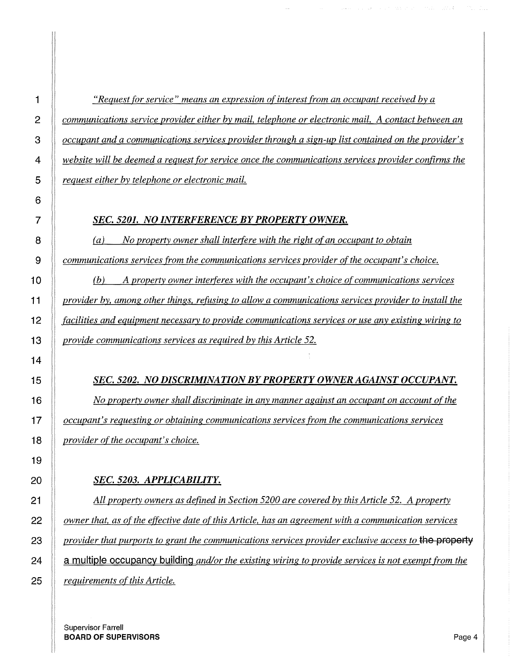*"Request for service" means an expression of interest from an occupant received by a communications service provider either by mail, telephone or electronic mail. A contact between an occupant and a communications services provider through a sign-up list contained on the provider's website will be deemed a request for service once the communications services provider confirms the request either by telephone or electronic mail.* 

 $\label{eq:1} \mathcal{L}(\mathcal{L}^{\mathcal{L}}(\mathcal{A},\mathcal{C}))=\mathcal{L}(\mathcal{L}^{\mathcal{L}}(\mathcal{C}))\mathcal{L}(\mathcal{L}^{\mathcal{L}}(\mathcal{C}))$ 

#### *SEC. 5201. NO INTERFERENCE BY PROPERTY OWNER.*

(a) *No property owner shall interfere with the right of an occupant to obtain communications services from the communications services provider of the occupant's choice.* 

 *(b) A property owner interferes with the occupant's choice of communications services provider by, among other things, refusing to allow a communications services provider to install the facilities and equipment necessary to provide communications services or use any existing wiring to provide communications services as required by this Article 52.* 

*SEC. 5202. NO DISCRIMINATION BY PROPERTY OWNER AGAINST OCCUPANT. No property owner shall discriminate in any manner against an occupant on account of the occupant's requesting or obtaining communications services from the communications services provider of the occupant's choice.* 

#### *SEC. 5203. APPLICABILITY.*

*All property owners as defined in Section 5200 are covered by this Article 52. A property owner that, as of the effective date of this Article, has an agreement with a communication services provider that purports to grant the communications services provider exclusive access to* **the property 24 a multiple occupancy building** *and/or the existing wiring to provide services is not exempt from the requirements of this Article.*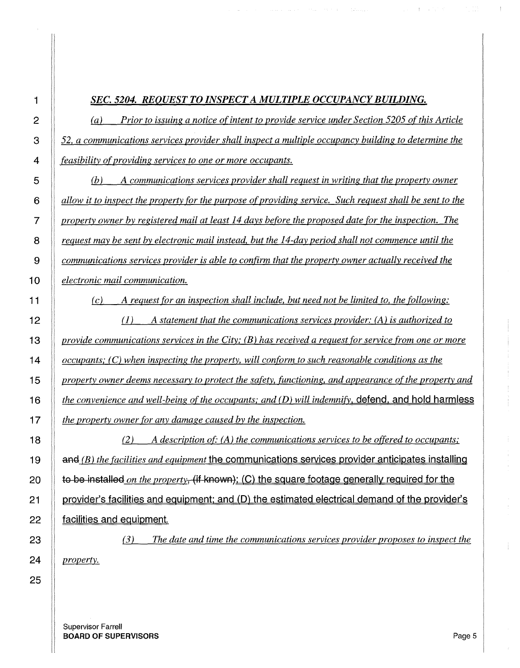### *SEC. 5204. REQUEST TO INSPECT A MULTIPLE OCCUPANCY BUILDING.*

(a) *Prior to issuing a notice of intent to provide service under Section 5205 of this Article 52, a communications services provider shall inspect a multiple occupancy building to determine the feasibility ofproviding services to one or more occupants.* 

(b) *A communications services provider shall request in writing that the property owner allow it to inspect the property for the purpose of providing service. Such request shall be sent to the property owner by registered mail at least 14 days before the proposed date for the inspection. The request may be sent by electronic mail instead, but the 14-day period shall not commence until the communications services provider is able to confirm that the property owner actually received the*  **1 0** *electronic mail communication.* 

*(c) A request for an inspection shall include, but need not be limited to, the following:* 

(1) *A statement that the communications services provider: (A) is authorized to provide communications services in the City; (B) has received a request for service from one or more occupants; (C) when inspecting the property, will conform to such reasonable conditions as the property owner deems necessary to protect the safety, functioning, and appearance of the property and the convenience and well-being of the occupants; and (D) will indemnify.* **defend. and hold harmless**  *the property owner for any damage caused by the inspection.* 

(2) *A description ot· (A) the communications services to be offered to occupants;*  **and** (B) the facilities and equipment the communications services provider anticipates installing **20 to be installed** *on the property,* **(if known): (C) the square footage generally required for the 21 provider's facilities and equipment: and (D) the estimated electrical demand of the provider's 22 facilities and equipment.** 

*(3) The date and time the communications services provider proposes to inspect the property.*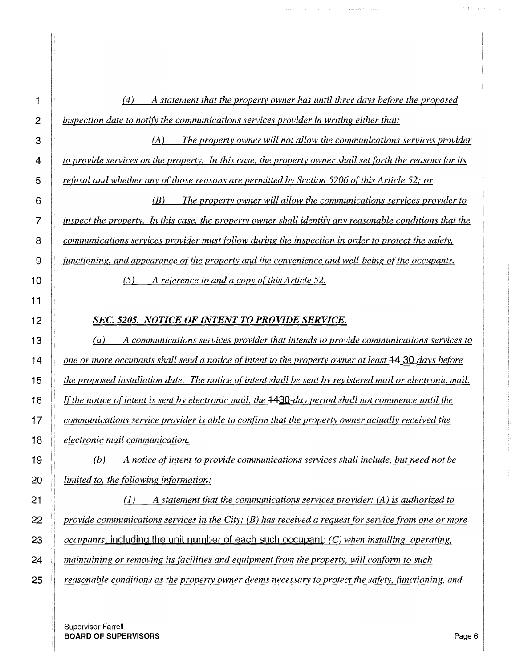*inspection date to notify the communications services provider in writing either that:*  (A) *The property owner will not allow the communications services provider to provide services on the property. In this case, the property owner shall set forth the reasons for its refusal and whether any of those reasons are permitted by Section 5206 of this Article 52; or*  (B) *The property owner will allow the communications services provider to inspect the property. In this case, the property owner shall identify any reasonable conditions that the communications services provider must follow during the inspection in order to protect the safety, functioning, and appearance of the property and the convenience and well-being of the occupants.*  (5) *A reference to and a copy of this Article 52. SEC. 5205. NOTICE OF INTENT TO PROVIDE SERVICE.*  (a) *A communications services provider that intends to provide communications services to one or more occupants shall send a notice of intent to the property owner at least* **<b>+4 30** *days before interproposed installation date. The notice of intent shall be sent by registered mail or electronic mail. Ifthe notice of intent is sent by electronic mail, the +430-day period shall not commence until the communications service provider is able to confirm that the property owner actually received the electronic mail communication.*  (b) *A notice of intent to provide communications services shall include, but need not be limited to, the following information:*  (1) *A statement that the communications services provider: (A) is authorized to* 

(4) *A statement that the property owner has until three days before the proposed* 

*provide communications services in the City; (B) has received a request for service from one or more occupants.* **including the unit number of each such occupant;** *(C) when installing, operating, maintaining or removing its facilities and equipment from the property, will conform to such reasonable conditions as the property owner deems necessary to protect the safety, functioning, and* 

Supervisor Farrell **BOARD OF SUPERVISORS** Page 6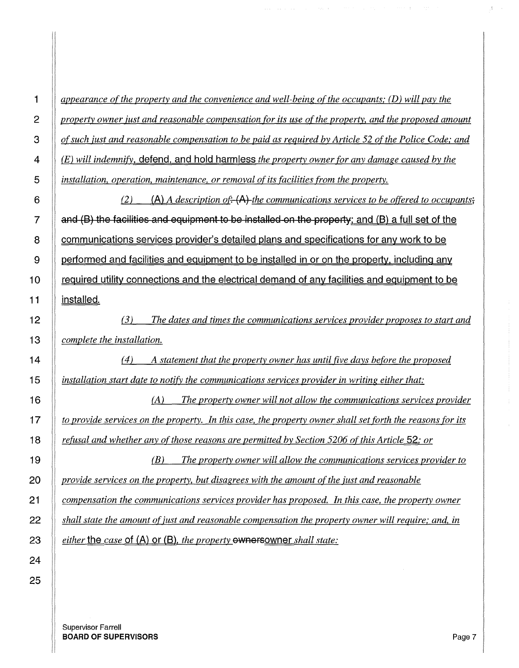*appearance of the property and the convenience and well-being of the occupants; (D) will pay the property owner just and reasonable compensation for its use of the property, and the proposed amount of such just and reasonable compensation to be paid as required by Article 52 of the Police Code; and (E) will indemnify.* **defend. and hold harmless** *the property owner for any damage caused by the installation, operation, maintenance, or removal of its facilities from the property.*  **(2) (A)** *A* description of. **(A)** the communications services to be offered to occupants.

**7 and (B) the facilities and equipment to be installed on the property: and (8) a full set of the 8 communications services provider's detailed plans and specifications for any work to be 9 performed and facilities and equipment to be installed in or on the property. including any 1 O required utility connections and the electrical demand of any facilities and equipment to be 11 installed.** 

(3) *The dates and times the communications services provider proposes to start and complete the installation.* 

(4) *A statement that the property owner has until five days before the proposed installation start date to notify the communications services provider in writing either that:* 

(A) *The property owner will not allow the communications services provider to provide services on the property. In this case, the property owner shall set forth the reasons for its*  **18** *<u><i>refusal and whether any of those reasons are permitted by Section 5206 of this Article 52; or <i>or*</u>

(B) *The property owner will allow the communications services provider to provide services on the property, but disagrees with the amount of the just and reasonable compensation the communications services provider has proposed. In this case, the property owner shall state the amount of just and reasonable compensation the property owner will require; and, in either* **the** *case* **of (A) or (8),** *the property* **ownersowner** *shall state:*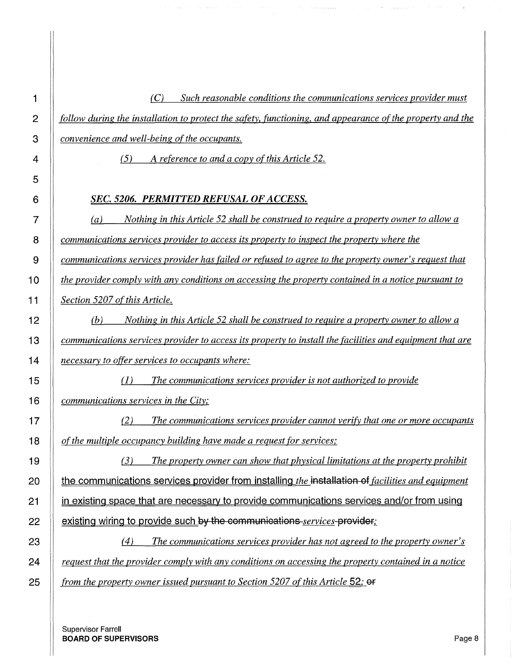*(C) Such reasonable conditions the communications services provider must follow during the installation to protect the safety, functioning. and appearance of the property and the convenience and well-being of the occupants.* 

*(5) A reference to and a copy of this Article* 52.

#### *SEC. 5206. PERMITTED REFUSAL OF ACCESS.*

(a) *Nothing in this Article 52 shall be construed to require a property owner to allow a communications services provider to access its property to inspect the property where the communications services provider has failed or refused to agree to the property owner's request that*  **1 O** *the provider comply with any conditions on accessing the property contained in a notice pursuant to Section 5207 of this Article.* 

(b) *Nothing in this Article 52 shall be construed to require a property owner to allow a communications services provider to access its property to install the facilities and equipment that are necessary to offer services to occupants where:* 

(1) *The communications services provider is not authorized to provide communications services in the City;* 

(2) *The communications services provider cannot verify that one or more occupants of the multiple occupancy building have made a request for services;* 

(3) *The property owner can show that physical limitations at the property prohibit*  **the communications services provider from installing** *the* **installation of** *facilities and equipment*  **21 in existing space that are necessarv to provide communications services and/or from using 22 existing wiring to provide such by the communications** *services* **provider,:** 

(4) *The communications services provider has not agreed to the property owner's request that the provider comply with any conditions on accessing the property contained in a notice*  **25** *from the property owner issued pursuant to Section 5207 of this Article 52;*  $\theta$ *f property*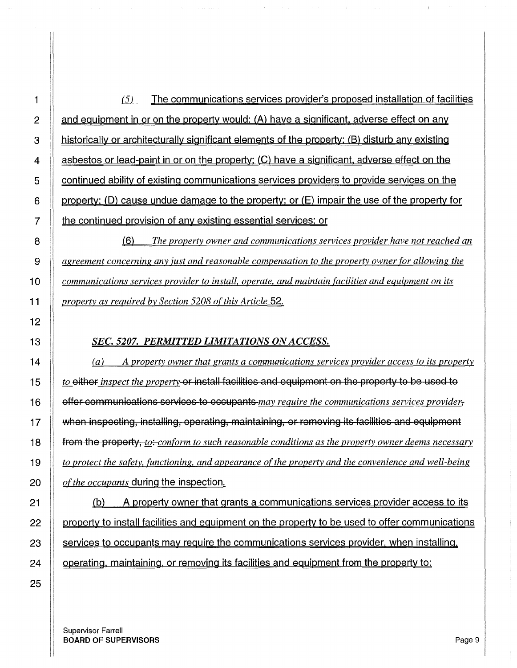*(5)* The communications services provider's proposed installation of facilities  $\parallel$  and equipment in or on the property would: (A) have a significant, adverse effect on any **historically or architecturally significant elements of the property: (B) disturb any existing**  $\parallel$  asbestos or lead-paint in or on the property: (C) have a significant, adverse effect on the **S** continued ability of existing communications services providers to provide services on the 6 property: (D) cause undue damage to the property; or  $(E)$  impair the use of the property for **the continued provision of any existing essential services; or** 

8 (6) *The property owner and communications services provider have not reached an agreement concerning any just and reasonable compensation to the property owner for allowing the communications services provider to install, operate, and maintain facilities and equipment on its* $\overline{\phantom{a}}$ *property as required by Section 5208 of this Article 52.* 

## *SEC. 5207. PERMITTED LIMITATIONS ON ACCESS.*

 $\parallel$  (a) A property owner that grants a communications services provider access to its property **the** *to* either *inspect the property*-or install facilities and equipment on the property to be used to 16 offer oommunioations servioes to oooupants *may require the communications services provider,*  when inspecting, installing, operating, maintaining, or removing its facilities and equipment **from the property,** *to:-conform to such reasonable conditions as the property owner deems necessary to protect the safety, functioning, and appearance of the property and the convenience and well-being of the occupants* during the inspection.

21 (b) A property owner that grants a communications services provider access to its  $\parallel$  property to install facilities and equipment on the property to be used to offer communications  $\parallel$  services to occupants may require the communications services provider, when installing.  $\parallel$  operating, maintaining, or removing its facilities and equipment from the property to: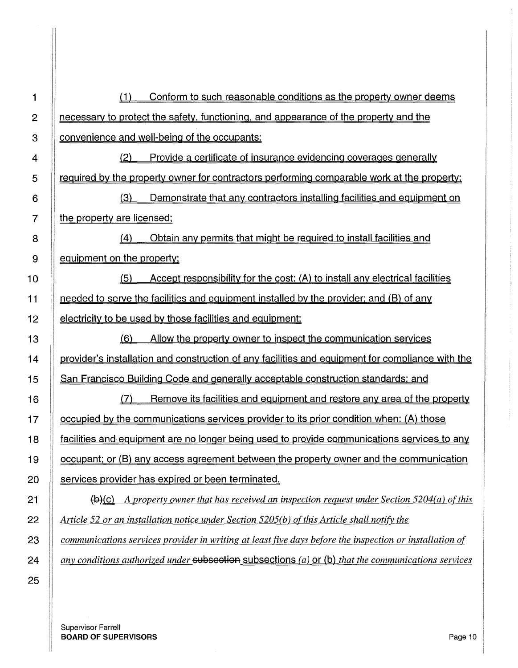(1) Conform to such reasonable conditions as the property owner deems 2 | necessary to protect the safety, functioning, and appearance of the property and the **Convenience and well-being of the occupants:**  $\parallel$  (2) Provide a certificate of insurance evidencing coverages generally | required by the property owner for contractors performing comparable work at the property; 6 (3) Demonstrate that any contractors installing facilities and equipment on | the property are licensed: 8 | (4) Obtain any permits that might be required to install facilities and  $9 \parallel$  equipment on the property: (5) Accept responsibility for the cost: (A) to install any electrical facilities **needed to serve the facilities and equipment installed by the provider; and (B) of any Exercise** is be used by those facilities and equipment; (6) Allow the property owner to inspect the communication services **If provider's installation and construction of any facilities and equipment for compliance with the San Francisco Building Code and generally acceptable construction standards; and** 16 (7) Remove its facilities and equipment and restore any area of the property 17 | | occupied by the communications services provider to its prior condition when: (A) those **facilities and equipment are no longer being used to provide communications services to any** 19 occupant: or (8) any access agreement between the property owner and the communication **Services provider has expired or been terminated. fg**(c) *A property owner that has received an inspection request under Section 5204(a) of this 2014 (a) of this in the section 5204(a) of this*  $\frac{1}{2}$ *Article* 52 *or an installation notice under Section 5205(b) of this Article shall notify the communications services provider in writing at least five days before the inspection or installation of any conditions authorized under subsection subsections (a) or (b) that the communications services* 

Supervisor Farrell **BOARD OF SUPERVISORS** Page 10 **Page 10**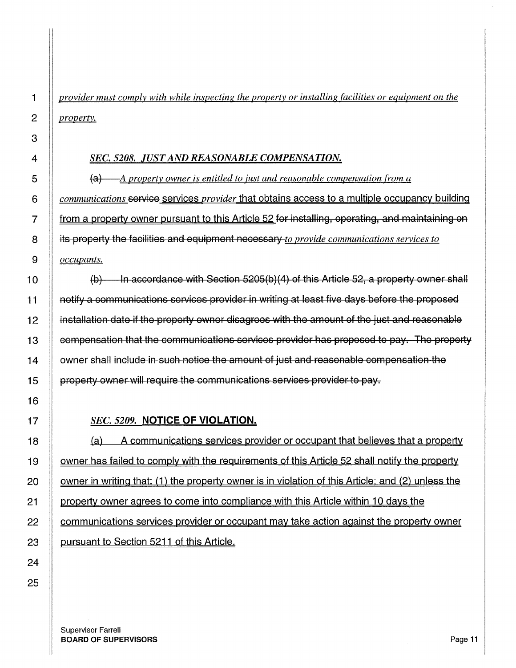*provider must comply with while inspecting the property or installing facilities or equipment on the property.* 

#### *SEC. 5208. JUST AND REASONABLE COMPENSATION.*

(a) *A property owner is entitled to just and reasonable compensation from a communications* servioe services *provider* that obtains access to a multiple occupancy building **from a property owner pursuant to this Article 52 for installing, operating, and maintaining on** 8 its property the faoilities and equipment neoessary *to provide communications services to occupants.* 

 $\parallel$  (b) In accordance with Section 5205(b)(4) of this Article 52, a property owner shall 11 notify a oommunioations servioes provider in writing at least five days before the proposed  $\parallel$  installation date if the property owner disagrees with the amount of the just and reasonable 13 | compensation that the communications services provider has proposed to pay. The property **If owner shall include in such notice the amount of just and reasonable compensation the I** property owner will require the communications services provider to pay.

#### *SEC. 5209.* **NOTICE OF VIOLATION.**

**(a)** A communications services provider or occupant that believes that a property 19 | owner has failed to comply with the requirements of this Article 52 shall notify the property **owner in writing that: (1) the property owner is in violation of this Article; and (2) unless the property owner agrees to come into compliance with this Article within 10 days the communications services provider or occupant may take action against the property owner pursuant to Section 5211 of this Article.**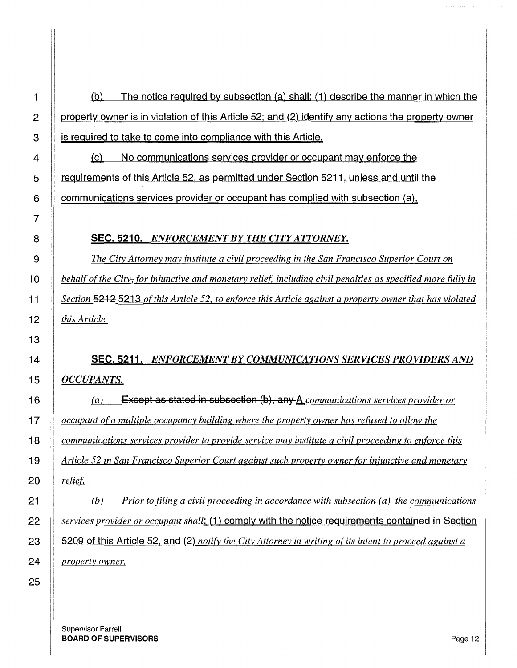$\parallel$  (b) The notice required by subsection (a) shall: (1) describe the manner in which the 2 property owner is in violation of this Article 52; and (2) identify any actions the property owner **is required to take to come into compliance with this Article.** 

 $\parallel$  (c) No communications services provider or occupant may enforce the 5 | requirements of this Article 52, as permitted under Section 5211, unless and until the 6  $\parallel$  communications services provider or occupant has complied with subsection (a).

#### 8 SEC. 5210. *ENFORCEMENT BY THE CITY ATTORNEY.*

*The City Attorney may institute a civil proceeding in the San Francisco Superior Court on behalf of the City, for injunctive and monetary reliel including civil penalties as specified more fully in*  11 | Section **5212** 5213 of this Article 52, to enforce this Article against a property owner that has violated *this Article.* 

# 14 SEC. 5211. *ENFORCEMENT BY COMMUNICATIONS SERVICES PROVIDERS AND OCCUPANTS.*

**(a)** Except as stated in subsection (b), any A communications services provider or *occupant ofa multiple occupancy building where the property owner has refused to allow the communications services provider to provide service may institute a civil proceeding to enforce this Article 52 in San Francisco Superior Court against such property owner for injunctive and monetary reliet* 

(b) *Prior to filing a civil proceeding in accordance with subsection (a). the communications services provider or occupant shall:* (1) comply with the notice requirements contained in Section 23 5209 of this Article 52. and (2) *notify the City Attorney in writing of its intent to proceed against a property owner.* 

 

> Supervisor Farrell BOARD OF SUPERVISORS And the state of the state of the state of the state of the state of the state of the state of the state of the state of the state of the state of the state of the state of the state of the state of th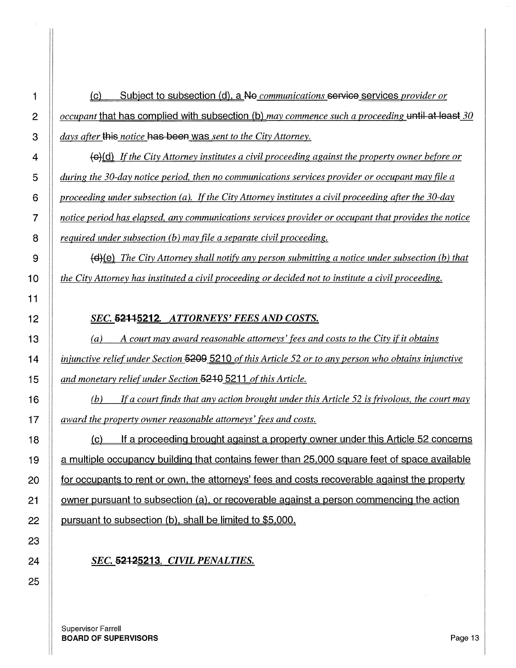1 (c) Subject to subsection (d), a No *communications* service services *provider or occupant* that has complied with subsection (b) *may commence such a proceeding* until at least *30 days after this notice has been was sent to the City Attorney.* 

**If the City Attorney institutes a civil proceeding against the property owner before or** *during the 30-day notice period, then no communications services provider or occupant may file a proceeding under subsection (a). If the City Attorney institutes a civil proceeding after the 30-day notice period has elapsed, any communications services provider or occupant that provides the notice required under subsection (b) may file a separate civil proceeding.* 

9  $\parallel$  **(d)**(e) The City Attorney shall notify any person submitting a notice under subsection (b) that *the City Attorney has instituted a civil proceeding or decided not to institute a civil proceeding.* 

## *SEC.* 62++5212. *ATTORNEYS' FEES AND COSTS.*

(a) *A court may award reasonable attorneys' fees and costs to the City if it obtains injunctive relief under Section* 5209 5210 *of this Article 52 or to any person who obtains injunctive and monetary relief under Section* **5210** 5211 *of this Article.* 

(b) *!fa court finds that any action brought under this Article 52 is frivolous, the court may award the property owner reasonable attorneys' fees and costs.* 

18 (c) If a proceeding brought against a property owner under this Article 52 concerns 19 | a multiple occupancy building that contains fewer than 25,000 square feet of space available **for occupants to rent or own, the attorneys' fees and costs recoverable against the property** 21 | owner pursuant to subsection (a), or recoverable against a person commencing the action **pursuant to subsection (b), shall be limited to \$5,000.** 

# *SEC.* **5212<u>5213</u>**. *CIVIL PENALTIES.*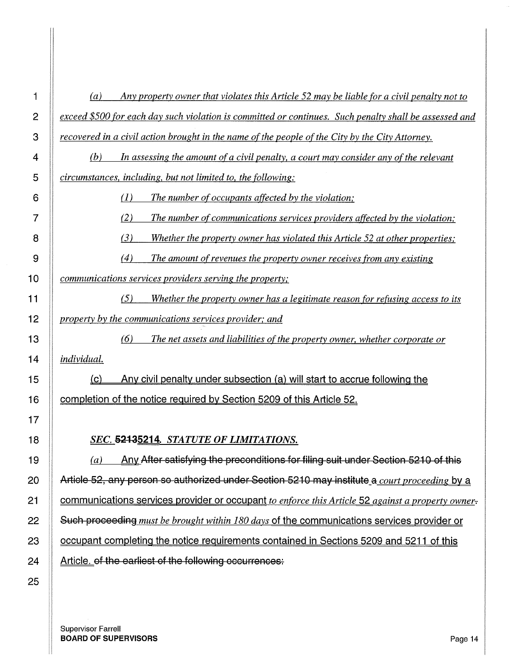(a) *Any property owner that violates this Article 52 may be liable for a civil penalty not to exceed \$500 for each day such violation is committed or continues. Such penalty shall be assessed and recovered in a civil action brought in the name of the people of the City by the City Attorney.* 

*(b) In assessing the amount ofa civil penalty, a court may consider any of the relevant circumstances, including, but not limited to, the following:* 

(1) *The number of occupants affected by the violation;* 

(2) *The number of communications services providers affected by the violation;* 

(3) *Whether the property owner has violated this Article 52 at other properties;* 

(4) *The amount of revenues the property owner receives from any existing* 

*communications services providers serving the property;* 

*(5) Whether the property owner has a legitimate reason for refusing access to its property by the communications services provider; and* 

*(6) The net assets and liabilities of the property owner, whether corporate or individual.* 

15 (c) Any civil penalty under subsection (a) will start to accrue following the **completion of the notice required by Section 5209 of this Article 52.** 

#### *SEC.* 52135214. *STATUTE OF LIMITATIONS.*

 $||$   $(a)$  Any After satisfying the preconditions for filing suit under Section 5210 of this 20 Article 52, any person so authorized under Section 5210 may institute\_a *court proceeding* by a **communications services provider or occupant** *to enforce this Article* 52 *against a property owner-*22 Such proceeding *must be brought within 180 days* of the communications services provider or **Same completing the notice requirements contained in Sections 5209 and 5211 of this** 24 Article. of the earliest of the following occurrences:

Supervisor Farrell **BOARD OF SUPERVISORS** Page 14 A 2002 12 A 2004 12 A 2004 12 A 2004 12 A 2004 12 A 2004 12 A 2004 12 A 2004 12 A 2004 12 A 2004 12 A 2004 12 A 2004 12 A 2004 12 A 2004 12 A 2004 12 A 2004 12 A 2004 12 A 2004 12 A 2004 12 A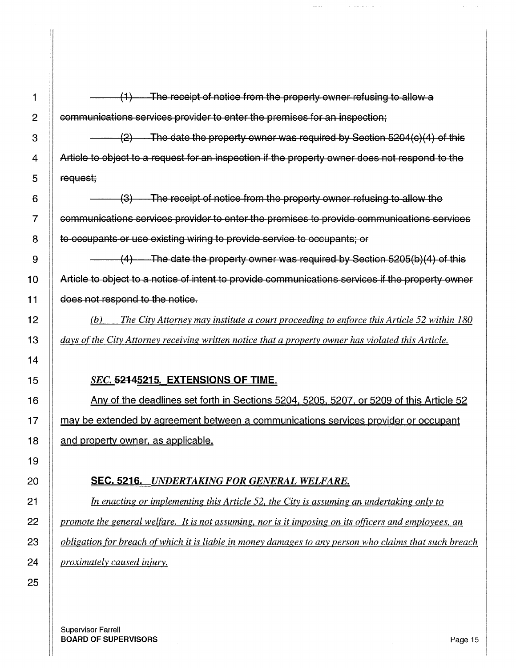| 1  | The receipt of notice from the property owner refusing to allow a<br>$\leftrightarrow$                 |
|----|--------------------------------------------------------------------------------------------------------|
| 2  | communications services provider to enter the premises for an inspection;                              |
| 3  | $(2)$ The date the property owner was required by Section 5204(c)(4) of this                           |
| 4  | Article to object to a request for an inspection if the property owner does not respond to the         |
| 5  | request;                                                                                               |
| 6  | (3) The receipt of notice from the property owner refusing to allow the                                |
| 7  | communications services provider to enter the premises to provide communications services              |
| 8  | to occupants or use existing wiring to provide service to occupants; or                                |
| 9  | $(4)$ The date the property owner was required by Section 5205(b)(4) of this                           |
| 10 | Article to object to a notice of intent to provide communications services if the property owner       |
| 11 | does not respond to the notice.                                                                        |
| 12 | The City Attorney may institute a court proceeding to enforce this Article 52 within 180<br>(b)        |
| 13 | days of the City Attorney receiving written notice that a property owner has violated this Article.    |
| 14 |                                                                                                        |
| 15 | <b>SEC. 52145215. EXTENSIONS OF TIME.</b>                                                              |
| 16 | Any of the deadlines set forth in Sections 5204, 5205, 5207, or 5209 of this Article 52                |
| 17 | may be extended by agreement between a communications services provider or occupant                    |
| 18 | <u>and property owner, as applicable.</u>                                                              |
| 19 |                                                                                                        |
| 20 | <b>SEC. 5216.</b> UNDERTAKING FOR GENERAL WELFARE.                                                     |
| 21 | In enacting or implementing this Article 52, the City is assuming an undertaking only to               |
| 22 | promote the general welfare. It is not assuming, nor is it imposing on its officers and employees, an  |
| 23 | obligation for breach of which it is liable in money damages to any person who claims that such breach |
| 24 | <i>proximately caused injury.</i>                                                                      |
| 25 |                                                                                                        |
|    |                                                                                                        |

 $\label{eq:1} \begin{aligned} \text{where} \; \mathbf{z} & = \mathbf{z} + \mathbf{z} + \mathbf{z} + \mathbf{z} + \mathbf{z} + \mathbf{z} + \mathbf{z} + \mathbf{z} + \mathbf{z} + \mathbf{z} + \mathbf{z} + \mathbf{z} + \mathbf{z} + \mathbf{z} + \mathbf{z} + \mathbf{z} + \mathbf{z} + \mathbf{z} + \mathbf{z} + \mathbf{z} + \mathbf{z} + \mathbf{z} + \mathbf{z} + \mathbf{z} + \mathbf{z} + \mathbf{z} + \mathbf{z} + \mathbf{$ 

Supervisor Farrell **BOARD OF SUPERVISORS** Page 15 And the set of the set of the set of the set of the set of the set of the set of th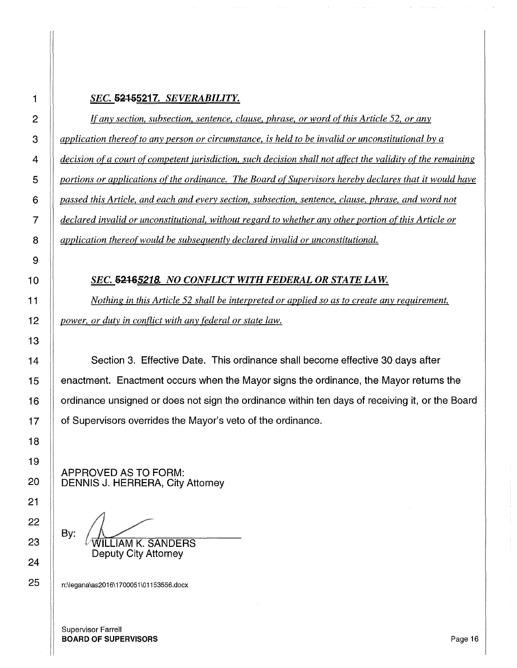#### **SEC. 52155217.** *SEVERABILITY.*

*If any section, subsection, sentence, clause, phrase, or word of this Article 52, or any application thereof to any person or circumstance, is held to be invalid or unconstitutional by a decision ofa court of competent jurisdiction, such decision shall not affect the validity of the remaining portions or applications of the ordinance. The Board of Supervisors hereby declares that it would have passed this Article, and each and every section, subsection, sentence, clause, phrase, and word not declared invalid or unconstitutional, without regard to whether any other portion of this Article or application thereof would be subsequently declared invalid or unconstitutional.* 

#### **SEC. 52465218.** NO CONFLICT WITH FEDERAL OR STATE LAW.

*Nothing in this Article 52 shall be interpreted or applied so as to create any requirement, power, or duty in conflict with any federal or state law.* 

**Section 3. Effective Date. This ordinance shall become effective 30 days after** 15 enactment. Enactment occurs when the Mayor signs the ordinance, the Mayor returns the ordinance unsigned or does not sign the ordinance within ten days of receiving it, or the Board **If** of Supervisors overrides the Mayor's veto of the ordinance.

APPROVED AS TO FORM: 20 | DENNIS J. HERRERA, City Attorney

By: LIAM K. SANDERS

Deputy City Attorney

25 | n:\legana\as2016\1700051\01153556.docx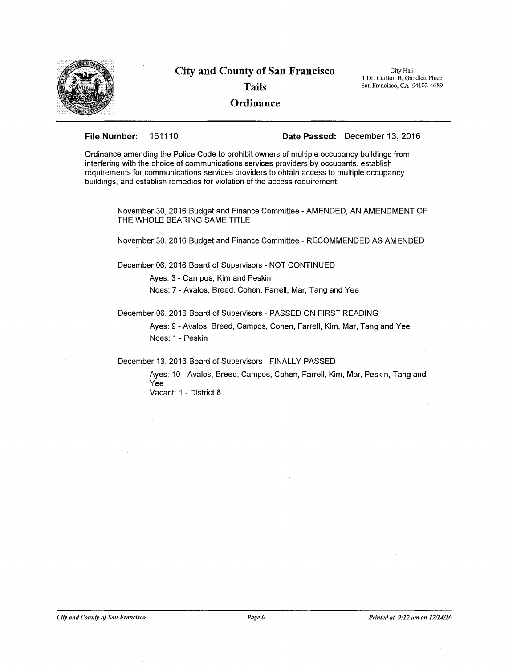

# **City and County of San Francisco Tails**

City Hall 1 Dr. Carlton B. Goodlett Place San Francisco, CA 94102-4689

#### **Ordinance**

**File Number:** 161110 **Date Passed:** December 13, 2016

Ordinance amending the Police Code to prohibit owners of multiple occupancy buildings from interfering with the choice of communications services providers by occupants, establish requirements for communications services providers to obtain access to multiple occupancy buildings, and establish remedies for violation of the access requirement.

November 30, 2016 Budget and Finance Committee-AMENDED, AN AMENDMENT OF THE WHOLE BEARING SAME TITLE

November 30, 2016 Budget and Finance Committee - RECOMMENDED AS AMENDED

December 06, 2016 Board of Supervisors - NOT CONTINUED

Ayes: 3 - Campos, Kim and Peskin

Noes: 7 -Avalos, Breed, Cohen, Farrell, Mar, Tang and Yee

December 06, 2016 Board of Supervisors - PASSED ON FIRST READING

Ayes: 9 - Avalos, Breed, Campos, Cohen, Farrell, Kim, Mar, Tang and Yee Noes: 1 - Peskin

December 13, 2016 Board of Supervisors - FINALLY PASSED

Ayes: 10 - Avalos, Breed, Campos, Cohen, Farrell, Kim, Mar, Peskin, Tang and Yee

Vacant: 1 - District 8